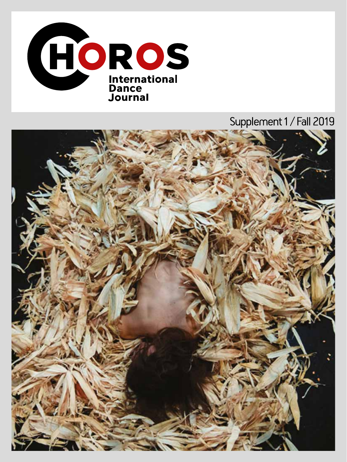

## Supplement 1 / Fall 2019

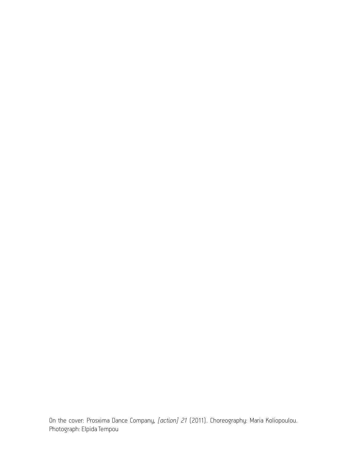On the cover: Prosxima Dance Company, *[action] 21* (2011). Choreography: Maria Koliopoulou. Photograph: Elpida Tempou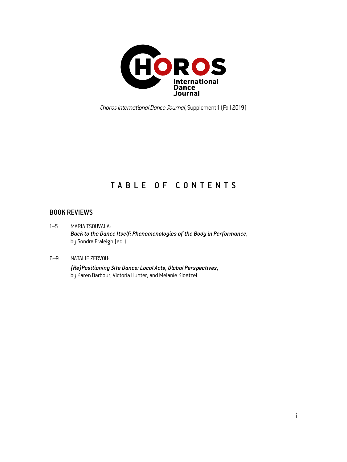

*Choros International Dance Journal*, Supplement 1 (Fall 2019)

### TABLE OF CONTENTS

#### BOOK REVIEWS

1–5 MARIA TSOUVALA: *Back to the Dance Itself: Phenomenologies of the Body in Performance*, by Sondra Fraleigh (ed.)

#### 6–9 NATALIE ZERVOU:

*(Re)Positioning Site Dance: Local Acts, Global Perspectives*, by Karen Barbour, Victoria Hunter, and Melanie Kloetzel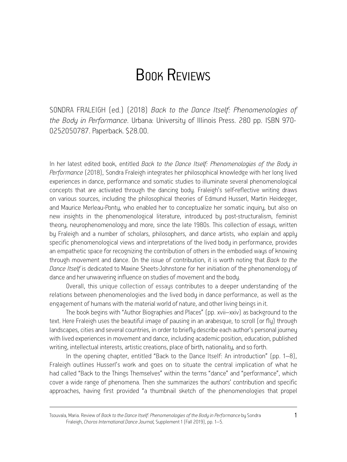# BOOK REVIEWS

SONDRA FRALEIGH (ed.) (2018) *Back to the Dance Itself: Phenomenologies of the Body in Performance*. Urbana: University of Illinois Press. 280 pp. ISBN 970- 0252050787. Paperback. \$28.00.

In her latest edited book, entitled *Back to the Dance Itself: Phenomenologies of the Body in Performance* (2018), Sondra Fraleigh integrates her philosophical knowledge with her long lived experiences in dance, performance and somatic studies to illuminate several phenomenological concepts that are activated through the dancing body. Fraleigh's self-reflective writing draws on various sources, including the philosophical theories of Edmund Husserl, Martin Heidegger, and Maurice Merleau-Ponty, who enabled her to conceptualize her somatic inquiry, but also on new insights in the phenomenological literature, introduced by post-structuralism, feminist theory, neurophenomenology and more, since the late 1980s. This collection of essays, written by Fraleigh and a number of scholars, philosophers, and dance artists, who explain and apply specific phenomenological views and interpretations of the lived body in performance, provides an empathetic space for recognizing the contribution of others in the embodied ways of knowing through movement and dance. On the issue of contribution, it is worth noting that *Back to the Dance Itself* is dedicated to Maxine Sheets-Johnstone for her initiation of the phenomenology of dance and her unwavering influence on studies of movement and the body.

Overall, this unique collection of essays contributes to a deeper understanding of the relations between phenomenologies and the lived body in dance performance, as well as the engagement of humans with the material world of nature, and other living beings in it.

The book begins with "Author Biographies and Places" (pp. xvii–xxiv) as background to the text. Here Fraleigh uses the beautiful image of pausing in an arabesque, to scroll (or fly) through landscapes, cities and several countries, in order to briefly describe each author's personal journey with lived experiences in movement and dance, including academic position, education, published writing, intellectual interests, artistic creations, place of birth, nationality, and so forth.

In the opening chapter, entitled "Back to the Dance Itself: An introduction" (pp. 1–8), Fraleigh outlines Husserl's work and goes on to situate the central implication of what he had called "Back to the Things Themselves" within the terms "dance" and "performance", which cover a wide range of phenomena. Then she summarizes the authors' contribution and specific approaches, having first provided "a thumbnail sketch of the phenomenologies that propel

Tsouvala, Maria. Review of *Back to the Dance Itself: Phenomenologies of the Body in Performance* by Sondra 1 Fraleigh, *Choros International Dance Journal*, Supplement 1 (Fall 2019), pp. 1–5.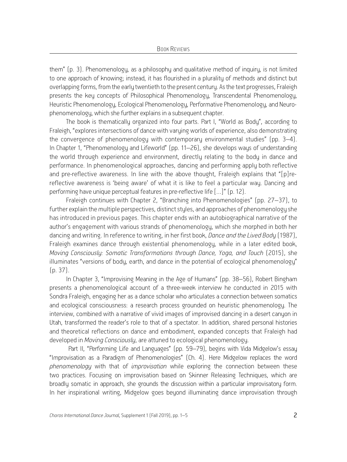them" (p. 3). Phenomenology, as a philosophy and qualitative method of inquiry, is not limited to one approach of knowing; instead, it has flourished in a plurality of methods and distinct but overlapping forms, from the early twentieth to the present century. As the text progresses, Fraleigh presents the key concepts of Philosophical Phenomenology, Transcendental Phenomenology, Heuristic Phenomenology, Ecological Phenomenology, Performative Phenomenology, and Neurophenomenology, which she further explains in a subsequent chapter.

The book is thematically organized into four parts. Part I, "World as Body", according to Fraleigh, "explores intersections of dance with varuing worlds of experience, also demonstrating the convergence of phenomenology with contemporary environmental studies" (pp. 3–4). In Chapter 1, "Phenomenology and Lifeworld" (pp. 11–26), she develops ways of understanding the world through experience and environment, directly relating to the body in dance and performance. In phenomenological approaches, dancing and performing apply both reflective and pre-reflective awareness. In line with the above thought, Fraleigh explains that "[p]rereflective awareness is 'being aware' of what it is like to feel a particular way. Dancing and performing have unique perceptual features in pre-reflective life […]" (p. 12).

Fraleigh continues with Chapter 2, "Branching into Phenomenologies" (pp. 27–37), to further explain the multiple perspectives, distinct styles, and approaches of phenomenology she has introduced in previous pages. This chapter ends with an autobiographical narrative of the author's engagement with various strands of phenomenology, which she morphed in both her dancing and writing. In reference to writing, in her first book, *Dance and the Lived Body* (1987), Fraleigh examines dance through existential phenomenology, while in a later edited book, *Moving Consciously: Somatic Transformations through Dance, Yoga, and Touch* (2015), she illuminates "versions of body, earth, and dance in the potential of ecological phenomenology" (p. 37).

In Chapter 3, "Improvising Meaning in the Age of Humans" (pp. 38–56), Robert Bingham presents a phenomenological account of a three-week interview he conducted in 2015 with Sondra Fraleigh, engaging her as a dance scholar who articulates a connection between somatics and ecological consciousness: a research process grounded on heuristic phenomenology. The interview, combined with a narrative of vivid images of improvised dancing in a desert canyon in Utah, transformed the reader's role to that of a spectator. In addition, shared personal histories and theoretical reflections on dance and embodiment, expanded concepts that Fraleigh had developed in *Moving Consciously*, are attuned to ecological phenomenology.

 Part II, "Performing Life and Languages" (pp. 59–79), begins with Vida Midgelow's essay "Improvisation as a Paradigm of Phenomenologies" (Ch. 4). Here Midgelow replaces the word *phenomenology* with that of *improvisation* while exploring the connection between these two practices. Focusing on improvisation based on Skinner Releasing Techniques, which are broadly somatic in approach, she grounds the discussion within a particular improvisatory form. In her inspirational writing, Midgelow goes beyond illuminating dance improvisation through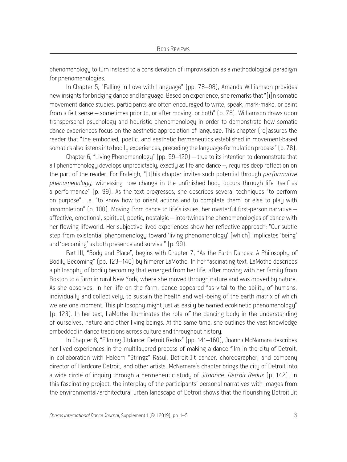phenomenology to turn instead to a consideration of improvisation as a methodological paradigm for phenomenologies.

In Chapter 5, "Falling in Love with Language" (pp. 78–98), Amanda Williamson provides new insights for bridging dance and language. Based on experience, she remarks that "[i]n somatic movement dance studies, participants are often encouraged to write, speak, mark-make, or paint from a felt sense – sometimes prior to, or after moving, or both" (p. 78). Williamson draws upon transpersonal psychology and heuristic phenomenology in order to demonstrate how somatic dance experiences focus on the aesthetic appreciation of language. This chapter (re)assures the reader that "the embodied, poetic, and aesthetic hermeneutics established in movement-based somatics also listens into bodily experiences, preceding the language-formulation process" (p. 78).

Chapter 6, "Living Phenomenology" (pp. 99–120) – true to its intention to demonstrate that all phenomenology develops unpredictably, exactly as life and dance –, requires deep reflection on the part of the reader. For Fraleigh, "[t]his chapter invites such potential through *performative phenomenology*, witnessing how change in the unfinished body occurs through life itself as a performance" (p. 99). As the text progresses, she describes several techniques "to perform on purpose", i.e. "to know how to orient actions and to complete them, or else to play with incompletion" (p. 100). Moving from dance to life's issues, her masterful first-person narrative – affective, emotional, spiritual, poetic, nostalgic – intertwines the phenomenologies of dance with her flowing lifeworld. Her subjective lived experiences show her reflective approach: "Our subtle step from existential phenomenology toward 'living phenomenology' [which] implicates 'being' and 'becoming' as both presence and survival" (p. 99).

Part III, "Body and Place", begins with Chapter 7, "As the Earth Dances: A Philosophy of Bodily Becoming" (pp. 123–140) by Kimerer LaMothe. In her fascinating text, LaMothe describes a philosophy of bodily becoming that emerged from her life, after moving with her family from Boston to a farm in rural New York, where she moved through nature and was moved by nature. As she observes, in her life on the farm, dance appeared "as vital to the ability of humans, individually and collectively, to sustain the health and well-being of the earth matrix of which we are one moment. This philosophy might just as easily be named ecokinetic phenomenology" (p. 123). In her text, LaMothe illuminates the role of the dancing body in the understanding of ourselves, nature and other living beings. At the same time, she outlines the vast knowledge embedded in dance traditions across culture and throughout history.

In Chapter 8, "Filming Jitdance: Detroit Redux" (pp. 141–160), Joanna McNamara describes her lived experiences in the multilayered process of making a dance film in the city of Detroit, in collaboration with Haleem "Stringz" Rasul, Detroit-Jit dancer, choreographer, and company director of Hardcore Detroit, and other artists. McNamara's chapter brings the city of Detroit into a wide circle of inquiry through a hermeneutic study of *Jitdance: Detroit Redux* (p. 142). In this fascinating project, the interplay of the participants' personal narratives with images from the environmental/architectural urban landscape of Detroit shows that the flourishing Detroit Jit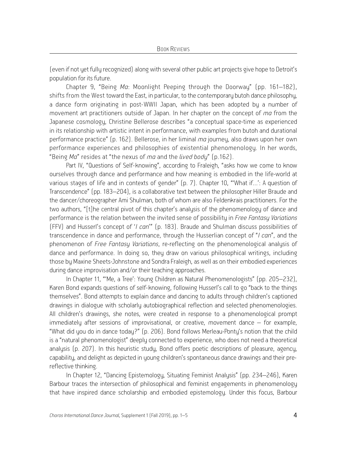(even if not yet fully recognized) along with several other public art projects give hope to Detroit's population for its future.

Chapter 9, "Being *Ma*: Moonlight Peeping through the Doorway" (pp. 161–182), shifts from the West toward the East, in particular, to the contemporary butoh dance philosophy, a dance form originating in post-WWII Japan, which has been adopted by a number of movement art practitioners outside of Japan. In her chapter on the concept of *ma* from the Japanese cosmology, Christine Bellerose describes "a conceptual space-time as experienced in its relationship with artistic intent in performance, with examples from butoh and durational performance practice" (p. 162). Bellerose, in her liminal *ma* journey, also draws upon her own performance experiences and philosophies of existential phenomenology. In her words, "Being *Ma*" resides at "the nexus of *ma* and the *lived body*" (p.162).

Part IV, "Questions of Self-knowing", according to Fraleigh, "asks how we come to know ourselves through dance and performance and how meaning is embodied in the life-world at various stages of life and in contexts of gender" (p. 7). Chapter 10, "'What if…': A question of Transcendence" (pp. 183–204), is a collaborative text between the philosopher Hiller Braude and the dancer/choreographer Ami Shulman, both of whom are also Feldenkrais practitioners. For the two authors, "[t]he central pivot of this chapter's analysis of the phenomenology of dance and performance is the relation between the invited sense of possibility in *Free Fantasy Variations* (FFV) and Husserl's concept of '*I can*'" (p. 183). Braude and Shulman discuss possibilities of transcendence in dance and performance, through the Husserlian concept of "*I can*", and the phenomenon of *Free Fantasy Variations*, re-reflecting on the phenomenological analysis of dance and performance. In doing so, they draw on various philosophical writings, including those by Maxine Sheets-Johnstone and Sondra Fraleigh, as well as on their embodied experiences during dance improvisation and/or their teaching approaches.

In Chapter 11, "'Me, a Tree': Young Children as Natural Phenomenologists" (pp. 205–232), Karen Bond expands questions of self-knowing, following Husserl's call to go "back to the things themselves". Bond attempts to explain dance and dancing to adults through children's captioned drawings in dialogue with scholarly autobiographical reflection and selected phenomenologies. All children's drawings, she notes, were created in response to a phenomenological prompt immediately after sessions of improvisational, or creative, movement dance – for example, "What did you do in dance today?" (p. 206). Bond follows Merleau-Ponty's notion that the child is a "natural phenomenologist" deeply connected to experience, who does not need a theoretical analysis (p. 207). In this heuristic study, Bond offers poetic descriptions of pleasure, agency, capability, and delight as depicted in young children's spontaneous dance drawings and their prereflective thinking.

In Chapter 12, "Dancing Epistemology, Situating Feminist Analysis" (pp. 234–246), Karen Barbour traces the intersection of philosophical and feminist engagements in phenomenology that have inspired dance scholarship and embodied epistemology. Under this focus, Barbour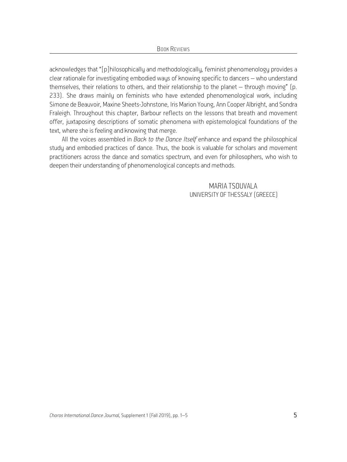acknowledges that "[p]hilosophically and methodologically, feminist phenomenology provides a clear rationale for investigating embodied ways of knowing specific to dancers – who understand themselves, their relations to others, and their relationship to the planet – through moving" (p. 233). She draws mainly on feminists who have extended phenomenological work, including Simone de Beauvoir, Maxine Sheets-Johnstone, Iris Marion Young, Ann Cooper Albright, and Sondra Fraleigh. Throughout this chapter, Barbour reflects on the lessons that breath and movement offer, juxtaposing descriptions of somatic phenomena with epistemological foundations of the text, where she is feeling and knowing that merge.

All the voices assembled in *Back to the Dance Itself* enhance and expand the philosophical study and embodied practices of dance*.* Thus, the book is valuable for scholars and movement practitioners across the dance and somatics spectrum, and even for philosophers, who wish to deepen their understanding of phenomenological concepts and methods.

> MARIA TSOUVALA UNIVERSITY OF THESSALY (GREECE)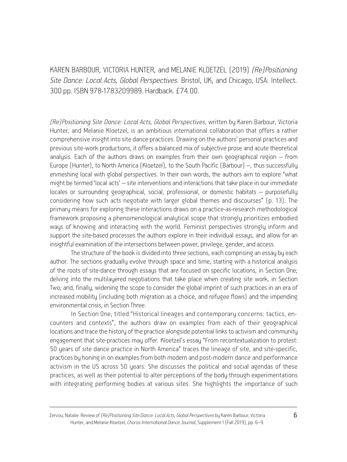KAREN BARBOUR, VICTORIA HUNTER, and MELANIE KLOETZEL (2019) *(Re)Positioning Site Dance: Local Acts, Global Perspectives*. Bristol, UK, and Chicago, USA: Intellect. 300 pp. ISBN 978-1783209989. Hardback. £74.00.

*(Re)Positioning Site Dance: Local Acts, Global Perspectives*, written by Karen Barbour, Victoria Hunter, and Melanie Kloetzel, is an ambitious international collaboration that offers a rather comprehensive insight into site dance practices. Drawing on the authors' personal practices and previous site-work productions, it offers a balanced mix of subjective prose and acute theoretical analysis. Each of the authors draws on examples from their own geographical region – from Europe (Hunter), to North America (Kloetzel), to the South Pacific (Barbour) –, thus successfully enmeshing local with global perspectives. In their own words, the authors aim to explore "what might be termed 'local acts' – site interventions and interactions that take place in our immediate locales or surrounding geographical, social, professional, or domestic habitats – purposefully considering how such acts negotiate with larger global themes and discourses" (p. 13). The primary means for exploring these interactions draws on a practice-as-research methodological framework proposing a phenomenological analytical scope that strongly prioritizes embodied ways of knowing and interacting with the world. Feminist perspectives strongly inform and support the site-based processes the authors explore in their individual essays, and allow for an insightful examination of the intersections between power, privilege, gender, and access.

The structure of the book is divided into three sections, each comprising an essay by each author. The sections gradually evolve through space and time, starting with a historical analysis of the roots of site-dance through essays that are focused on specific locations, in Section One; delving into the multilayered negotiations that take place when creating site work, in Section Two; and, finally, widening the scope to consider the global imprint of such practices in an era of increased mobility (including both migration as a choice, and refugee flows) and the impending environmental crisis, in Section Three.

In Section One, titled "Historical lineages and contemporary concerns: tactics, encounters and contexts", the authors draw on examples from each of their geographical locations and trace the history of the practice alongside potential links to activism and community engagement that site-practices may offer. Kloetzel's essay "From recontextualization to protest: 50 years of site dance practice in North America" traces the lineage of site, and site-specific, practices by honing in on examples from both modern and post-modern dance and performance activism in the US across 50 years. She discusses the political and social agendas of these practices, as well as their potential to alter perceptions of the body through experimentations with integrating performing bodies at various sites. She highlights the importance of such

Zervou, Natalie. Review of *(Re)Positioning Site Dance: Local Acts, Global Perspectives* by Karen Barbour, Victoria 6 Hunter, and Melanie Kloetzel, *Choros International Dance Journal*, Supplement 1 (Fall 2019), pp. 6–9.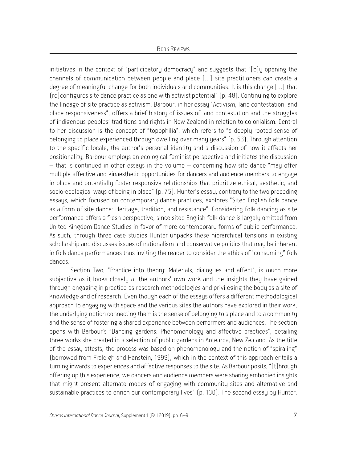initiatives in the context of "participatory democracy" and suggests that "[b]y opening the channels of communication between people and place […] site practitioners can create a degree of meaningful change for both individuals and communities. It is this change […] that (re)configures site dance practice as one with activist potential" (p. 48). Continuing to explore the lineage of site practice as activism, Barbour, in her essay "Activism, land contestation, and place responsiveness", offers a brief history of issues of land contestation and the struggles of indigenous peoples' traditions and rights in New Zealand in relation to colonialism. Central to her discussion is the concept of "topophilia", which refers to "a deeply rooted sense of belonging to place experienced through dwelling over many years" (p. 53). Through attention to the specific locale, the author's personal identity and a discussion of how it affects her positionality, Barbour employs an ecological feminist perspective and initiates the discussion – that is continued in other essays in the volume – concerning how site dance "may offer multiple affective and kinaesthetic opportunities for dancers and audience members to engage in place and potentially foster responsive relationships that prioritize ethical, aesthetic, and socio-ecological ways of being in place" (p. 75). Hunter's essay, contrary to the two preceding essays, which focused on contemporary dance practices, explores "Sited English folk dance as a form of site dance: Heritage, tradition, and resistance". Considering folk dancing as site performance offers a fresh perspective, since sited English folk dance is largely omitted from United Kingdom Dance Studies in favor of more contemporary forms of public performance. As such, through three case studies Hunter unpacks these hierarchical tensions in existing scholarship and discusses issues of nationalism and conservative politics that may be inherent in folk dance performances thus inviting the reader to consider the ethics of "consuming" folk dances.

Section Two, "Practice into theory: Materials, dialogues and affect", is much more subjective as it looks closely at the authors' own work and the insights they have gained through engaging in practice-as-research methodologies and privileging the body as a site of knowledge and of research. Even though each of the essays offers a different methodological approach to engaging with space and the various sites the authors have explored in their work, the underlying notion connecting them is the sense of belonging to a place and to a community and the sense of fostering a shared experience between performers and audiences. The section opens with Barbour's "Dancing gardens: Phenomenology and affective practices", detailing three works she created in a selection of public gardens in Aotearoa, New Zealand. As the title of the essay attests, the process was based on phenomenology and the notion of "spiraling" (borrowed from Fraleigh and Hanstein, 1999), which in the context of this approach entails a turning inwards to experiences and affective responses to the site. As Barbour posits, "[t]hrough offering up this experience, we dancers and audience members were sharing embodied insights that might present alternate modes of engaging with community sites and alternative and sustainable practices to enrich our contemporary lives" (p. 130). The second essay by Hunter,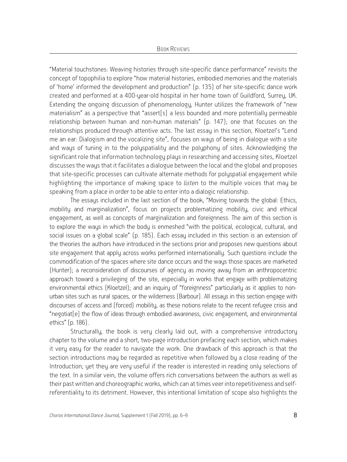"Material touchstones: Weaving histories through site-specific dance performance" revisits the concept of topophilia to explore "how material histories, embodied memories and the materials of 'home' informed the development and production" (p. 135) of her site-specific dance work created and performed at a 400-year-old hospital in her home town of Guildford, Surrey, UK. Extending the ongoing discussion of phenomenology, Hunter utilizes the framework of "new materialism" as a perspective that "assert[s] a less bounded and more potentially permeable relationship between human and non-human materials" (p. 147); one that focuses on the relationships produced through attentive acts. The last essay in this section, Kloetzel's "Lend me an ear: Dialogism and the vocalizing site", focuses on ways of being in dialogue with a site and waus of tuning in to the poluspatialitu and the poluphonu of sites. Acknowledging the significant role that information technology plays in researching and accessing sites, Kloetzel discusses the ways that it facilitates a dialogue between the local and the global and proposes that site-specific processes can cultivate alternate methods for polyspatial engagement while highlighting the importance of making space to *listen* to the multiple voices that may be speaking from a place in order to be able to enter into a dialogic relationship.

The essays included in the last section of the book, "Moving towards the global: Ethics, mobility and marginalization", focus on projects problematizing mobility, civic and ethical engagement, as well as concepts of marginalization and foreignness. The aim of this section is to explore the ways in which the body is enmeshed "with the political, ecological, cultural, and social issues on a global scale" (p. 185). Each essay included in this section is an extension of the theories the authors have introduced in the sections prior and proposes new questions about site engagement that apply across works performed internationally. Such questions include the commodification of the spaces where site dance occurs and the ways those spaces are marketed (Hunter); a reconsideration of discourses of agency as moving away from an anthropocentric approach toward a privileging of the site, especially in works that engage with problematizing environmental ethics (Kloetzel); and an inquiry of "foreignness" particularly as it applies to nonurban sites such as rural spaces, or the wilderness (Barbour). All essays in this section engage with discourses of access and (forced) mobility, as these notions relate to the recent refugee crisis and "negotiat[e] the flow of ideas through embodied awareness, civic engagement, and environmental ethics" (p. 186).

Structurally, the book is very clearly laid out, with a comprehensive introductory chapter to the volume and a short, two-page introduction prefacing each section, which makes it very easy for the reader to navigate the work. One drawback of this approach is that the section introductions may be regarded as repetitive when followed by a close reading of the Introduction; yet they are very useful if the reader is interested in reading only selections of the text. In a similar vein, the volume offers rich conversations between the authors as well as their past written and choreographic works, which can at times veer into repetitiveness and selfreferentiality to its detriment. However, this intentional limitation of scope also highlights the